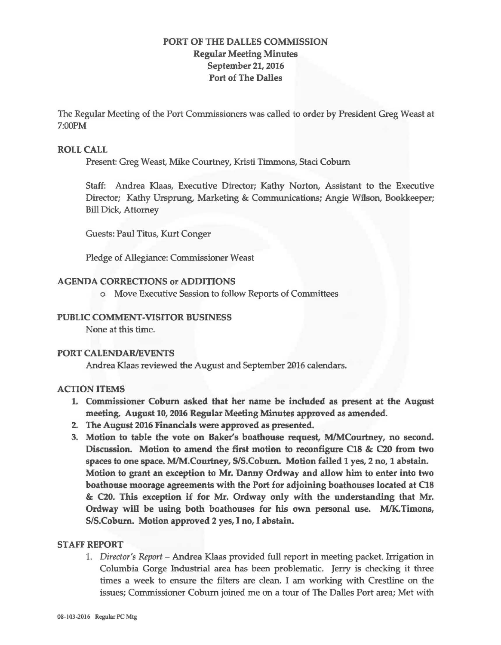# PORT OF THE DALLES COMMISSION Regular Meeting Minutes September 21, 2016 Port of The Dalles

The Regular Meeting of the Port Commissioners was called to order by President Greg Weast at 7:00PM

# **ROLL CALL**

Present: Greg Weast, Mike Courtney, Kristi Timmons, Staci Coburn

Staff: Andrea Klaas, Executive Director; Kathy Norton, Assistant to the Executive Director; Kathy Ursprung, Marketing & Communications; Angie Wilson, Bookkeeper; Bill Dick, Attorney

Guests: Paul Titus, Kurt Conger

Pledge of Allegiance: Commissioner Weast

## **AGENDA CORRECTIONS or ADDITIONS**

o Move Executive Session to follow Reports of Committees

## **PUBLIC COMMENT-VISITOR BUSINESS**

None at this time.

#### **PORT CALENDAR/EVENTS**

Andrea Klaas reviewed the August and September 2016 calendars .

# **ACTION ITEMS**

- **1. Commissioner Coburn asked that her name be included as present at the August meeting. August 10, 2016 Regular Meeting Minutes approved as amended.**
- **2. The August 2016 Financials were approved as presented.**
- 3. **Motion to table the vote on Baker's boathouse request,. M/MCourtney, no second. Discussion. Motion to amend the first motion to reconfigure C18** & C20 **from two spaces to one space. M/M.Courtney, S/S.Cobum. Motion failed** 1 **yes, 2 no,** 1 **abstain.**  Motion to grant an exception to Mr. Danny Ordway and allow him to enter into two boathouse moorage agreements with the Port for adjoining boathouses located at C18 & C20. This exception if for Mr. Ordway only with the understanding that Mr. **Ordway will be using both boathouses for his own personal use. M/K. Timons, SIS.Coburn. Motion approved 2 yes,** I **no,** I **abstain.**

#### **STAFF REPORT**

1. *Director's Report* - Andrea Klaas provided full report in meeting packet. Irrigation in Columbia Gorge Industrial area has been problematic. Jerry is checking it three times a week to ensure the filters are clean . I am working with Crestline on the issues; Commissioner Coburn joined me on a tour of The Dalles Port area; Met with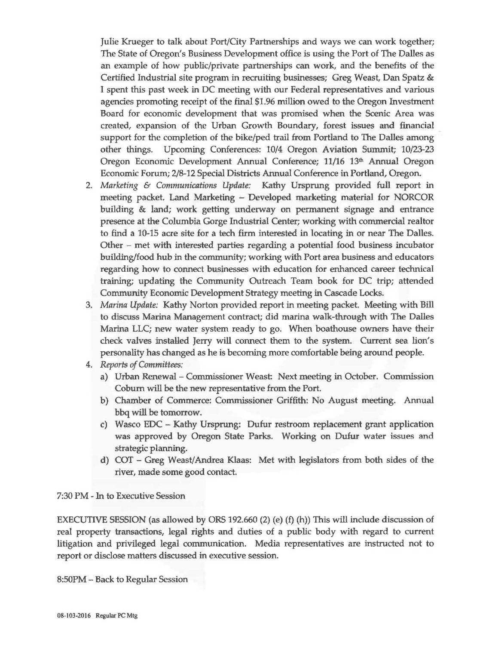Julie Krueger to talk about Port/City Partnerships and ways we can work together; The State of Oregon's Business Development office is using the Port of The Dalles as an example of how public/private partnerships can work, and the benefits of the Certified Industrial site program in recruiting businesses; Greg Weast, Dan Spatz & I spent this past week in DC meeting with our Federal representatives and various agencies promoting receipt of the final \$1.96 million owed to the Oregon Investment Board for economic development that was promised when the Scenic Area was created, expansion of the Urban Growth Boundary, forest issues and financial support for the completion of the bike/ped trail from Portland to The Dalles among other things. Upcoming Conferences: 10/4 Oregon Aviation Summit; 10/23-23 Oregon Economic Development Annual Conference; 11/16 13<sup>th</sup> Annual Oregon Economic Forum; 2/8-12 Special Districts Annual Conference in Portland, Oregon.

- 2. *Marketing* & *Communications Update:* Kathy Ursprung provided full report in meeting packet. Land Marketing - Developed marketing material for NORCOR building & land; work getting underway on permanent signage and entrance presence at the Columbia Gorge Industrial Center; working with commercial realtor to find a 10-15 acre site for a tech firm interested in locating in or near The Dalles. Other - met with interested parties regarding a potential food business incubator building/food hub in the community; working with Port area business and educators regarding how to connect businesses with education for enhanced career technical training; updating the Community Outreach Team book for DC trip; attended Community Economic Development Strategy meeting in Cascade Locks.
- 3. *Marina Update:* Kathy Norton provided report in meeting packet. Meeting with Bill to discuss Marina Management contract; did marina walk-through with The Dalles Marina LLC; new water system ready to go. When boathouse owners have their check valves installed Jerry will connect them to the system. Current sea lion's personality has changed as he is becoming more comfortable being around people.
- 4. *Reports of Committees:* 
	- a) Urban Renewal Commissioner Weast: Next meeting in October. Commission Coburn will be the new representative from the Port.
	- b) Chamber of Commerce: Commissioner Griffith: No August meeting. Annual bbq will be tomorrow.
	- c) Wasco EDC Kathy Ursprung: Dufur restroom replacement grant application was approved by Oregon State Parks. Working on Dufur water issues and strategic planning.
	- d) COT Greg Weast/Andrea Klaas: Met with legislators from both sides of the river, made some good contact.

7:30 PM - In to Executive Session

EXECUTIVE SESSION (as allowed by ORS 192.660 (2) (e) (f) (h)) This will include discussion of real property transactions, legal rights and duties of a public body with regard to current litigation and privileged legal communication. Media representatives are instructed not to report or disclose matters discussed in executive session.

8:50PM - Back to Regular Session